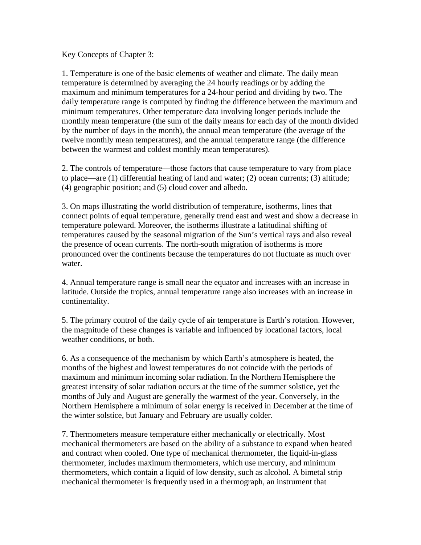Key Concepts of Chapter 3:

1. Temperature is one of the basic elements of weather and climate. The daily mean temperature is determined by averaging the 24 hourly readings or by adding the maximum and minimum temperatures for a 24-hour period and dividing by two. The daily temperature range is computed by finding the difference between the maximum and minimum temperatures. Other temperature data involving longer periods include the monthly mean temperature (the sum of the daily means for each day of the month divided by the number of days in the month), the annual mean temperature (the average of the twelve monthly mean temperatures), and the annual temperature range (the difference between the warmest and coldest monthly mean temperatures).

2. The controls of temperature—those factors that cause temperature to vary from place to place—are (1) differential heating of land and water; (2) ocean currents; (3) altitude; (4) geographic position; and (5) cloud cover and albedo.

3. On maps illustrating the world distribution of temperature, isotherms, lines that connect points of equal temperature, generally trend east and west and show a decrease in temperature poleward. Moreover, the isotherms illustrate a latitudinal shifting of temperatures caused by the seasonal migration of the Sun's vertical rays and also reveal the presence of ocean currents. The north-south migration of isotherms is more pronounced over the continents because the temperatures do not fluctuate as much over water.

4. Annual temperature range is small near the equator and increases with an increase in latitude. Outside the tropics, annual temperature range also increases with an increase in continentality.

5. The primary control of the daily cycle of air temperature is Earth's rotation. However, the magnitude of these changes is variable and influenced by locational factors, local weather conditions, or both.

6. As a consequence of the mechanism by which Earth's atmosphere is heated, the months of the highest and lowest temperatures do not coincide with the periods of maximum and minimum incoming solar radiation. In the Northern Hemisphere the greatest intensity of solar radiation occurs at the time of the summer solstice, yet the months of July and August are generally the warmest of the year. Conversely, in the Northern Hemisphere a minimum of solar energy is received in December at the time of the winter solstice, but January and February are usually colder.

7. Thermometers measure temperature either mechanically or electrically. Most mechanical thermometers are based on the ability of a substance to expand when heated and contract when cooled. One type of mechanical thermometer, the liquid-in-glass thermometer, includes maximum thermometers, which use mercury, and minimum thermometers, which contain a liquid of low density, such as alcohol. A bimetal strip mechanical thermometer is frequently used in a thermograph, an instrument that